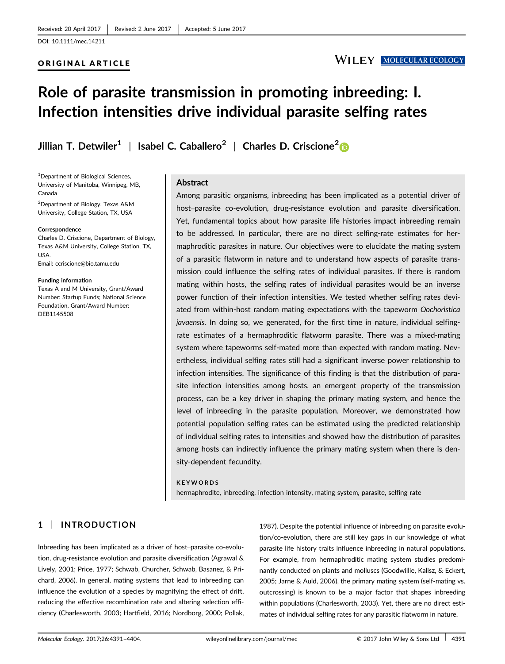## ORIGINAL ARTICLE

# **WILEY MOLECULAR ECOLOGY**

# Role of parasite transmission in promoting inbreeding: I. Infection intensities drive individual parasite selfing rates

Jillian T. Detwiler<sup>1</sup> | Isabel C. Caballero<sup>2</sup> | Charles D. Criscione<sup>2</sup>

1 Department of Biological Sciences, University of Manitoba, Winnipeg, MB, Canada

2 Department of Biology, Texas A&M University, College Station, TX, USA

#### Correspondence

Charles D. Criscione, Department of Biology, Texas A&M University, College Station, TX, USA. Email: ccriscione@bio.tamu.edu

#### Funding information

Texas A and M University, Grant/Award Number: Startup Funds; National Science Foundation, Grant/Award Number: DEB1145508

#### Abstract

Among parasitic organisms, inbreeding has been implicated as a potential driver of host–parasite co-evolution, drug-resistance evolution and parasite diversification. Yet, fundamental topics about how parasite life histories impact inbreeding remain to be addressed. In particular, there are no direct selfing-rate estimates for hermaphroditic parasites in nature. Our objectives were to elucidate the mating system of a parasitic flatworm in nature and to understand how aspects of parasite transmission could influence the selfing rates of individual parasites. If there is random mating within hosts, the selfing rates of individual parasites would be an inverse power function of their infection intensities. We tested whether selfing rates deviated from within-host random mating expectations with the tapeworm Oochoristica javaensis. In doing so, we generated, for the first time in nature, individual selfingrate estimates of a hermaphroditic flatworm parasite. There was a mixed-mating system where tapeworms self-mated more than expected with random mating. Nevertheless, individual selfing rates still had a significant inverse power relationship to infection intensities. The significance of this finding is that the distribution of parasite infection intensities among hosts, an emergent property of the transmission process, can be a key driver in shaping the primary mating system, and hence the level of inbreeding in the parasite population. Moreover, we demonstrated how potential population selfing rates can be estimated using the predicted relationship of individual selfing rates to intensities and showed how the distribution of parasites among hosts can indirectly influence the primary mating system when there is density-dependent fecundity.

#### **KEYWORDS**

hermaphrodite, inbreeding, infection intensity, mating system, parasite, selfing rate

## 1 | INTRODUCTION

Inbreeding has been implicated as a driver of host–parasite co-evolution, drug-resistance evolution and parasite diversification (Agrawal & Lively, 2001; Price, 1977; Schwab, Churcher, Schwab, Basanez, & Prichard, 2006). In general, mating systems that lead to inbreeding can influence the evolution of a species by magnifying the effect of drift, reducing the effective recombination rate and altering selection efficiency (Charlesworth, 2003; Hartfield, 2016; Nordborg, 2000; Pollak,

1987). Despite the potential influence of inbreeding on parasite evolution/co-evolution, there are still key gaps in our knowledge of what parasite life history traits influence inbreeding in natural populations. For example, from hermaphroditic mating system studies predominantly conducted on plants and molluscs (Goodwillie, Kalisz, & Eckert, 2005; Jarne & Auld, 2006), the primary mating system (self-mating vs. outcrossing) is known to be a major factor that shapes inbreeding within populations (Charlesworth, 2003). Yet, there are no direct estimates of individual selfing rates for any parasitic flatworm in nature.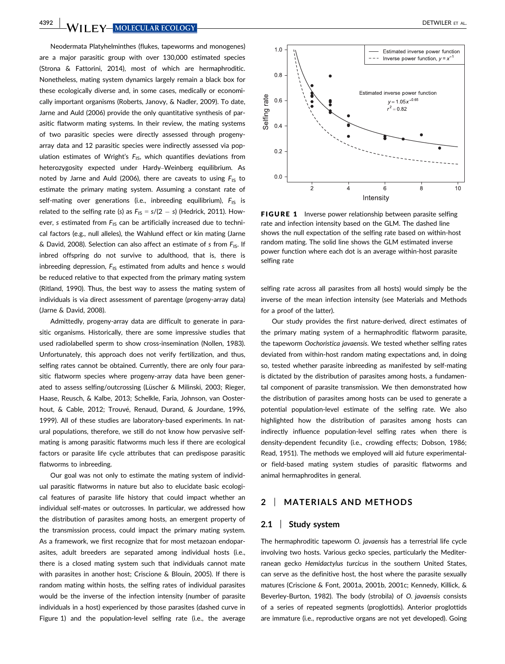**4392 WILEY MOLECULAR ECOLOGY** 

Neodermata Platyhelminthes (flukes, tapeworms and monogenes) are a major parasitic group with over 130,000 estimated species (Strona & Fattorini, 2014), most of which are hermaphroditic. Nonetheless, mating system dynamics largely remain a black box for these ecologically diverse and, in some cases, medically or economically important organisms (Roberts, Janovy, & Nadler, 2009). To date, Jarne and Auld (2006) provide the only quantitative synthesis of parasitic flatworm mating systems. In their review, the mating systems of two parasitic species were directly assessed through progenyarray data and 12 parasitic species were indirectly assessed via population estimates of Wright's  $F_{1S}$ , which quantifies deviations from heterozygosity expected under Hardy–Weinberg equilibrium. As noted by Jarne and Auld (2006), there are caveats to using  $F_{1S}$  to estimate the primary mating system. Assuming a constant rate of self-mating over generations (i.e., inbreeding equilibrium),  $F_{1S}$  is related to the selfing rate (s) as  $F_{1S} = s/(2 - s)$  (Hedrick, 2011). However, s estimated from  $F_{1S}$  can be artificially increased due to technical factors (e.g., null alleles), the Wahlund effect or kin mating (Jarne & David, 2008). Selection can also affect an estimate of s from  $F_{1S}$ . If inbred offspring do not survive to adulthood, that is, there is inbreeding depression,  $F_{1S}$  estimated from adults and hence s would be reduced relative to that expected from the primary mating system (Ritland, 1990). Thus, the best way to assess the mating system of individuals is via direct assessment of parentage (progeny-array data) (Jarne & David, 2008).

Admittedly, progeny-array data are difficult to generate in parasitic organisms. Historically, there are some impressive studies that used radiolabelled sperm to show cross-insemination (Nollen, 1983). Unfortunately, this approach does not verify fertilization, and thus, selfing rates cannot be obtained. Currently, there are only four parasitic flatworm species where progeny-array data have been generated to assess selfing/outcrossing (Lüscher & Milinski, 2003; Rieger, Haase, Reusch, & Kalbe, 2013; Schelkle, Faria, Johnson, van Oosterhout, & Cable, 2012; Trouvé, Renaud, Durand, & Jourdane, 1996, 1999). All of these studies are laboratory-based experiments. In natural populations, therefore, we still do not know how pervasive selfmating is among parasitic flatworms much less if there are ecological factors or parasite life cycle attributes that can predispose parasitic flatworms to inbreeding.

Our goal was not only to estimate the mating system of individual parasitic flatworms in nature but also to elucidate basic ecological features of parasite life history that could impact whether an individual self-mates or outcrosses. In particular, we addressed how the distribution of parasites among hosts, an emergent property of the transmission process, could impact the primary mating system. As a framework, we first recognize that for most metazoan endoparasites, adult breeders are separated among individual hosts (i.e., there is a closed mating system such that individuals cannot mate with parasites in another host; Criscione & Blouin, 2005). If there is random mating within hosts, the selfing rates of individual parasites would be the inverse of the infection intensity (number of parasite individuals in a host) experienced by those parasites (dashed curve in Figure 1) and the population-level selfing rate (i.e., the average



FIGURE 1 Inverse power relationship between parasite selfing rate and infection intensity based on the GLM. The dashed line shows the null expectation of the selfing rate based on within-host random mating. The solid line shows the GLM estimated inverse power function where each dot is an average within-host parasite selfing rate

selfing rate across all parasites from all hosts) would simply be the inverse of the mean infection intensity (see Materials and Methods for a proof of the latter).

Our study provides the first nature-derived, direct estimates of the primary mating system of a hermaphroditic flatworm parasite, the tapeworm Oochoristica javaensis. We tested whether selfing rates deviated from within-host random mating expectations and, in doing so, tested whether parasite inbreeding as manifested by self-mating is dictated by the distribution of parasites among hosts, a fundamental component of parasite transmission. We then demonstrated how the distribution of parasites among hosts can be used to generate a potential population-level estimate of the selfing rate. We also highlighted how the distribution of parasites among hosts can indirectly influence population-level selfing rates when there is density-dependent fecundity (i.e., crowding effects; Dobson, 1986; Read, 1951). The methods we employed will aid future experimentalor field-based mating system studies of parasitic flatworms and animal hermaphrodites in general.

## 2 | MATERIALS AND METHODS

## 2.1 | Study system

The hermaphroditic tapeworm O. javaensis has a terrestrial life cycle involving two hosts. Various gecko species, particularly the Mediterranean gecko Hemidactylus turcicus in the southern United States, can serve as the definitive host, the host where the parasite sexually matures (Criscione & Font, 2001a, 2001b, 2001c; Kennedy, Killick, & Beverley-Burton, 1982). The body (strobila) of O. javaensis consists of a series of repeated segments (proglottids). Anterior proglottids are immature (i.e., reproductive organs are not yet developed). Going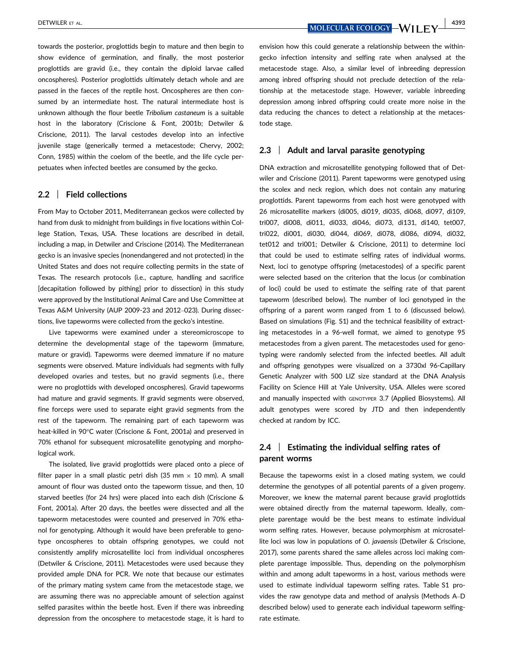DETWILER ET AL. 4393

towards the posterior, proglottids begin to mature and then begin to show evidence of germination, and finally, the most posterior proglottids are gravid (i.e., they contain the diploid larvae called oncospheres). Posterior proglottids ultimately detach whole and are passed in the faeces of the reptile host. Oncospheres are then consumed by an intermediate host. The natural intermediate host is unknown although the flour beetle Tribolium castaneum is a suitable host in the laboratory (Criscione & Font, 2001b; Detwiler & Criscione, 2011). The larval cestodes develop into an infective juvenile stage (generically termed a metacestode; Chervy, 2002; Conn, 1985) within the coelom of the beetle, and the life cycle perpetuates when infected beetles are consumed by the gecko.

## 2.2 | Field collections

From May to October 2011, Mediterranean geckos were collected by hand from dusk to midnight from buildings in five locations within College Station, Texas, USA. These locations are described in detail, including a map, in Detwiler and Criscione (2014). The Mediterranean gecko is an invasive species (nonendangered and not protected) in the United States and does not require collecting permits in the state of Texas. The research protocols (i.e., capture, handling and sacrifice [decapitation followed by pithing] prior to dissection) in this study were approved by the Institutional Animal Care and Use Committee at Texas A&M University (AUP 2009-23 and 2012–023). During dissections, live tapeworms were collected from the gecko's intestine.

Live tapeworms were examined under a stereomicroscope to determine the developmental stage of the tapeworm (immature, mature or gravid). Tapeworms were deemed immature if no mature segments were observed. Mature individuals had segments with fully developed ovaries and testes, but no gravid segments (i.e., there were no proglottids with developed oncospheres). Gravid tapeworms had mature and gravid segments. If gravid segments were observed, fine forceps were used to separate eight gravid segments from the rest of the tapeworm. The remaining part of each tapeworm was heat-killed in 90°C water (Criscione & Font, 2001a) and preserved in 70% ethanol for subsequent microsatellite genotyping and morphological work.

The isolated, live gravid proglottids were placed onto a piece of filter paper in a small plastic petri dish (35 mm  $\times$  10 mm). A small amount of flour was dusted onto the tapeworm tissue, and then, 10 starved beetles (for 24 hrs) were placed into each dish (Criscione & Font, 2001a). After 20 days, the beetles were dissected and all the tapeworm metacestodes were counted and preserved in 70% ethanol for genotyping. Although it would have been preferable to genotype oncospheres to obtain offspring genotypes, we could not consistently amplify microsatellite loci from individual oncospheres (Detwiler & Criscione, 2011). Metacestodes were used because they provided ample DNA for PCR. We note that because our estimates of the primary mating system came from the metacestode stage, we are assuming there was no appreciable amount of selection against selfed parasites within the beetle host. Even if there was inbreeding depression from the oncosphere to metacestode stage, it is hard to

envision how this could generate a relationship between the withingecko infection intensity and selfing rate when analysed at the metacestode stage. Also, a similar level of inbreeding depression among inbred offspring should not preclude detection of the relationship at the metacestode stage. However, variable inbreeding depression among inbred offspring could create more noise in the data reducing the chances to detect a relationship at the metacestode stage.

### 2.3 Adult and larval parasite genotyping

DNA extraction and microsatellite genotyping followed that of Detwiler and Criscione (2011). Parent tapeworms were genotyped using the scolex and neck region, which does not contain any maturing proglottids. Parent tapeworms from each host were genotyped with 26 microsatellite markers (di005, di019, di035, di068, di097, di109, tri007, di008, di011, di033, di046, di073, di131, di140, tet007, tri022, di001, di030, di044, di069, di078, di086, di094, di032, tet012 and tri001; Detwiler & Criscione, 2011) to determine loci that could be used to estimate selfing rates of individual worms. Next, loci to genotype offspring (metacestodes) of a specific parent were selected based on the criterion that the locus (or combination of loci) could be used to estimate the selfing rate of that parent tapeworm (described below). The number of loci genotyped in the offspring of a parent worm ranged from 1 to 6 (discussed below). Based on simulations (Fig. S1) and the technical feasibility of extracting metacestodes in a 96-well format, we aimed to genotype 95 metacestodes from a given parent. The metacestodes used for genotyping were randomly selected from the infected beetles. All adult and offspring genotypes were visualized on a 3730xl 96-Capillary Genetic Analyzer with 500 LIZ size standard at the DNA Analysis Facility on Science Hill at Yale University, USA. Alleles were scored and manually inspected with GENOTYPER 3.7 (Applied Biosystems). All adult genotypes were scored by JTD and then independently checked at random by ICC.

# 2.4 Estimating the individual selfing rates of parent worms

Because the tapeworms exist in a closed mating system, we could determine the genotypes of all potential parents of a given progeny. Moreover, we knew the maternal parent because gravid proglottids were obtained directly from the maternal tapeworm. Ideally, complete parentage would be the best means to estimate individual worm selfing rates. However, because polymorphism at microsatellite loci was low in populations of O. javaensis (Detwiler & Criscione, 2017), some parents shared the same alleles across loci making complete parentage impossible. Thus, depending on the polymorphism within and among adult tapeworms in a host, various methods were used to estimate individual tapeworm selfing rates. Table S1 provides the raw genotype data and method of analysis (Methods A–D described below) used to generate each individual tapeworm selfingrate estimate.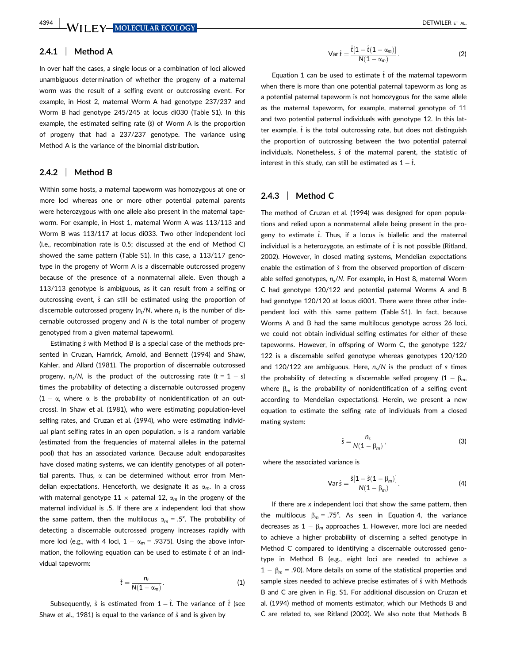## 2.4.1 | Method A

In over half the cases, a single locus or a combination of loci allowed unambiguous determination of whether the progeny of a maternal worm was the result of a selfing event or outcrossing event. For example, in Host 2, maternal Worm A had genotype 237/237 and Worm B had genotype 245/245 at locus di030 (Table S1). In this example, the estimated selfing rate  $(\hat{s})$  of Worm A is the proportion of progeny that had a 237/237 genotype. The variance using Method A is the variance of the binomial distribution.

#### $2.4.2$  | Method B

Within some hosts, a maternal tapeworm was homozygous at one or more loci whereas one or more other potential paternal parents were heterozygous with one allele also present in the maternal tapeworm. For example, in Host 1, maternal Worm A was 113/113 and Worm B was 113/117 at locus di033. Two other independent loci (i.e., recombination rate is 0.5; discussed at the end of Method C) showed the same pattern (Table S1). In this case, a 113/117 genotype in the progeny of Worm A is a discernable outcrossed progeny because of the presence of a nonmaternal allele. Even though a 113/113 genotype is ambiguous, as it can result from a selfing or outcrossing event,  $\hat{s}$  can still be estimated using the proportion of discernable outcrossed progeny ( $n_t/N$ , where  $n_t$  is the number of discernable outcrossed progeny and N is the total number of progeny genotyped from a given maternal tapeworm).

Estimating  $\hat{s}$  with Method B is a special case of the methods presented in Cruzan, Hamrick, Arnold, and Bennett (1994) and Shaw, Kahler, and Allard (1981). The proportion of discernable outcrossed progeny,  $n_t/N$ , is the product of the outcrossing rate  $(t = 1 - s)$ times the probability of detecting a discernable outcrossed progeny  $(1 - \alpha$ , where  $\alpha$  is the probability of nonidentification of an outcross). In Shaw et al. (1981), who were estimating population-level selfing rates, and Cruzan et al. (1994), who were estimating individual plant selfing rates in an open population,  $\alpha$  is a random variable (estimated from the frequencies of maternal alleles in the paternal pool) that has an associated variance. Because adult endoparasites have closed mating systems, we can identify genotypes of all potential parents. Thus,  $\alpha$  can be determined without error from Mendelian expectations. Henceforth, we designate it as  $\alpha_m$ . In a cross with maternal genotype 11  $\times$  paternal 12,  $\alpha_m$  in the progeny of the maternal individual is .5. If there are  $x$  independent loci that show the same pattern, then the multilocus  $\alpha_m = .5^x$ . The probability of detecting a discernable outcrossed progeny increases rapidly with more loci (e.g., with 4 loci,  $1 - \alpha_m = .9375$ ). Using the above information, the following equation can be used to estimate  $\hat{t}$  of an individual tapeworm:

$$
\hat{t} = \frac{n_t}{N(1 - \alpha_m)}.
$$
 (1)

Subsequently,  $\hat{s}$  is estimated from  $1 - \hat{t}$ . The variance of  $\hat{t}$  (see Shaw et al., 1981) is equal to the variance of  $\hat{s}$  and is given by

$$
\operatorname{Var}\hat{t} = \frac{\hat{t}[1 - \hat{t}(1 - \alpha_m)]}{N(1 - \alpha_m)}.
$$
 (2)

Equation 1 can be used to estimate  $\hat{t}$  of the maternal tapeworm when there is more than one potential paternal tapeworm as long as a potential paternal tapeworm is not homozygous for the same allele as the maternal tapeworm, for example, maternal genotype of 11 and two potential paternal individuals with genotype 12. In this latter example,  $\hat{t}$  is the total outcrossing rate, but does not distinguish the proportion of outcrossing between the two potential paternal individuals. Nonetheless,  $\hat{s}$  of the maternal parent, the statistic of interest in this study, can still be estimated as  $1 - \hat{t}$ .

### 2.4.3 | Method C

The method of Cruzan et al. (1994) was designed for open populations and relied upon a nonmaternal allele being present in the progeny to estimate  $\hat{t}$ . Thus, if a locus is biallelic and the maternal individual is a heterozygote, an estimate of  $\hat{t}$  is not possible (Ritland, 2002). However, in closed mating systems, Mendelian expectations enable the estimation of  $\hat{s}$  from the observed proportion of discernable selfed genotypes,  $n_s/N$ . For example, in Host 8, maternal Worm C had genotype 120/122 and potential paternal Worms A and B had genotype 120/120 at locus di001. There were three other independent loci with this same pattern (Table S1). In fact, because Worms A and B had the same multilocus genotype across 26 loci, we could not obtain individual selfing estimates for either of these tapeworms. However, in offspring of Worm C, the genotype 122/ 122 is a discernable selfed genotype whereas genotypes 120/120 and 120/122 are ambiguous. Here,  $n_s/N$  is the product of s times the probability of detecting a discernable selfed progeny  $(1 - \beta_m,$ where  $\beta_m$  is the probability of nonidentification of a selfing event according to Mendelian expectations). Herein, we present a new equation to estimate the selfing rate of individuals from a closed mating system:

$$
\hat{s} = \frac{n_s}{N(1 - \beta_m)},
$$
\n(3)

where the associated variance is

Var 
$$
\hat{s} = \frac{\hat{s}[1 - \hat{s}(1 - \beta_m)]}{N(1 - \beta_m)}
$$
. (4)

If there are  $x$  independent loci that show the same pattern, then the multilocus  $\beta_m = .75^{\text{x}}$ . As seen in Equation 4, the variance decreases as  $1 - \beta_m$  approaches 1. However, more loci are needed to achieve a higher probability of discerning a selfed genotype in Method C compared to identifying a discernable outcrossed genotype in Method B (e.g., eight loci are needed to achieve a  $1 - \beta_m = .90$ ). More details on some of the statistical properties and sample sizes needed to achieve precise estimates of  $\hat{s}$  with Methods B and C are given in Fig. S1. For additional discussion on Cruzan et al. (1994) method of moments estimator, which our Methods B and C are related to, see Ritland (2002). We also note that Methods B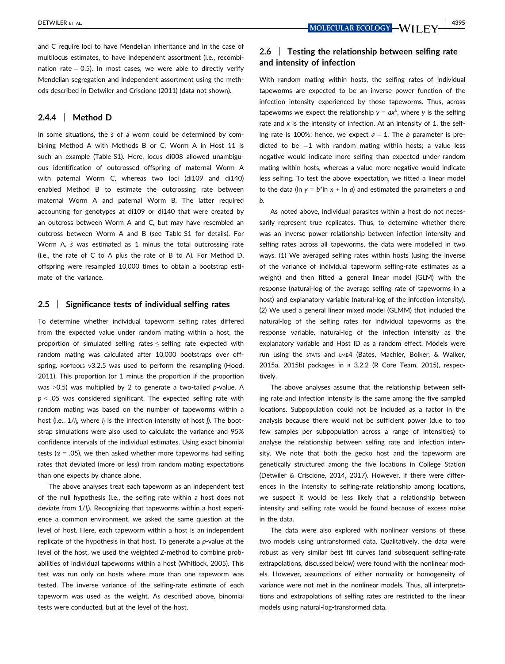and C require loci to have Mendelian inheritance and in the case of multilocus estimates, to have independent assortment (i.e., recombination rate  $= 0.5$ ). In most cases, we were able to directly verify Mendelian segregation and independent assortment using the methods described in Detwiler and Criscione (2011) (data not shown).

## 2.4.4 | Method D

In some situations, the  $\hat{s}$  of a worm could be determined by combining Method A with Methods B or C. Worm A in Host 11 is such an example (Table S1). Here, locus di008 allowed unambiguous identification of outcrossed offspring of maternal Worm A with paternal Worm C, whereas two loci (di109 and di140) enabled Method B to estimate the outcrossing rate between maternal Worm A and paternal Worm B. The latter required accounting for genotypes at di109 or di140 that were created by an outcross between Worm A and C, but may have resembled an outcross between Worm A and B (see Table S1 for details). For Worm A,  $\hat{s}$  was estimated as 1 minus the total outcrossing rate (i.e., the rate of C to A plus the rate of B to A). For Method D, offspring were resampled 10,000 times to obtain a bootstrap estimate of the variance.

#### 2.5 | Significance tests of individual selfing rates

To determine whether individual tapeworm selfing rates differed from the expected value under random mating within a host, the proportion of simulated selfing rates ≤ selfing rate expected with random mating was calculated after 10,000 bootstraps over offspring. POPTOOLS V3.2.5 was used to perform the resampling (Hood, 2011). This proportion (or 1 minus the proportion if the proportion was >0.5) was multiplied by 2 to generate a two-tailed p-value. A  $p < 0.05$  was considered significant. The expected selfing rate with random mating was based on the number of tapeworms within a host (i.e., 1/I<sub>j</sub>, where I<sub>j</sub> is the infection intensity of host j). The bootstrap simulations were also used to calculate the variance and 95% confidence intervals of the individual estimates. Using exact binomial tests ( $\alpha$  = .05), we then asked whether more tapeworms had selfing rates that deviated (more or less) from random mating expectations than one expects by chance alone.

The above analyses treat each tapeworm as an independent test of the null hypothesis (i.e., the selfing rate within a host does not deviate from 1/I<sub>j</sub>). Recognizing that tapeworms within a host experience a common environment, we asked the same question at the level of host. Here, each tapeworm within a host is an independent replicate of the hypothesis in that host. To generate a p-value at the level of the host, we used the weighted Z-method to combine probabilities of individual tapeworms within a host (Whitlock, 2005). This test was run only on hosts where more than one tapeworm was tested. The inverse variance of the selfing-rate estimate of each tapeworm was used as the weight. As described above, binomial tests were conducted, but at the level of the host.

## 2.6 | Testing the relationship between selfing rate and intensity of infection

With random mating within hosts, the selfing rates of individual tapeworms are expected to be an inverse power function of the infection intensity experienced by those tapeworms. Thus, across tapeworms we expect the relationship  $y = ax^b$ , where y is the selfing rate and x is the intensity of infection. At an intensity of 1, the selfing rate is 100%; hence, we expect  $a = 1$ . The b parameter is predicted to be  $-1$  with random mating within hosts; a value less negative would indicate more selfing than expected under random mating within hosts, whereas a value more negative would indicate less selfing. To test the above expectation, we fitted a linear model to the data (ln  $y = b^*$ ln  $x + \ln a$ ) and estimated the parameters a and b.

As noted above, individual parasites within a host do not necessarily represent true replicates. Thus, to determine whether there was an inverse power relationship between infection intensity and selfing rates across all tapeworms, the data were modelled in two ways. (1) We averaged selfing rates within hosts (using the inverse of the variance of individual tapeworm selfing-rate estimates as a weight) and then fitted a general linear model (GLM) with the response (natural-log of the average selfing rate of tapeworms in a host) and explanatory variable (natural-log of the infection intensity). (2) We used a general linear mixed model (GLMM) that included the natural-log of the selfing rates for individual tapeworms as the response variable, natural-log of the infection intensity as the explanatory variable and Host ID as a random effect. Models were run using the STATS and LME4 (Bates, Machler, Bolker, & Walker, 2015a, 2015b) packages in <sup>R</sup> 3.2.2 (R Core Team, 2015), respectively.

The above analyses assume that the relationship between selfing rate and infection intensity is the same among the five sampled locations. Subpopulation could not be included as a factor in the analysis because there would not be sufficient power (due to too few samples per subpopulation across a range of intensities) to analyse the relationship between selfing rate and infection intensity. We note that both the gecko host and the tapeworm are genetically structured among the five locations in College Station (Detwiler & Criscione, 2014, 2017). However, if there were differences in the intensity to selfing-rate relationship among locations, we suspect it would be less likely that a relationship between intensity and selfing rate would be found because of excess noise in the data.

The data were also explored with nonlinear versions of these two models using untransformed data. Qualitatively, the data were robust as very similar best fit curves (and subsequent selfing-rate extrapolations, discussed below) were found with the nonlinear models. However, assumptions of either normality or homogeneity of variance were not met in the nonlinear models. Thus, all interpretations and extrapolations of selfing rates are restricted to the linear models using natural-log-transformed data.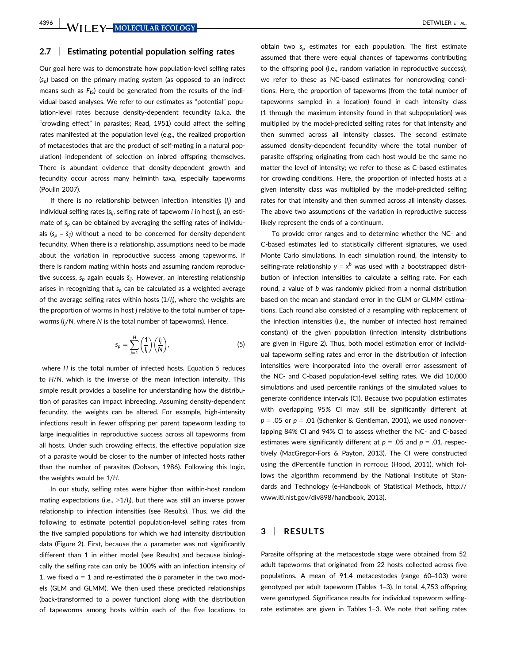#### 2.7 | Estimating potential population selfing rates

Our goal here was to demonstrate how population-level selfing rates  $(s_n)$  based on the primary mating system (as opposed to an indirect means such as  $F_{15}$ ) could be generated from the results of the individual-based analyses. We refer to our estimates as "potential" population-level rates because density-dependent fecundity (a.k.a. the "crowding effect" in parasites; Read, 1951) could affect the selfing rates manifested at the population level (e.g., the realized proportion of metacestodes that are the product of self-mating in a natural population) independent of selection on inbred offspring themselves. There is abundant evidence that density-dependent growth and fecundity occur across many helminth taxa, especially tapeworms (Poulin 2007).

If there is no relationship between infection intensities (I<sub>j</sub>) and individual selfing rates ( $s_{ij}$ , selfing rate of tapeworm *i* in host *j*), an estimate of  $s_p$  can be obtained by averaging the selfing rates of individuals  $(s_p = \bar{s}_{ij})$  without a need to be concerned for density-dependent fecundity. When there is a relationship, assumptions need to be made about the variation in reproductive success among tapeworms. If there is random mating within hosts and assuming random reproductive success,  $s_p$  again equals  $\bar{s}_{ij}$ . However, an interesting relationship arises in recognizing that  $s_p$  can be calculated as a weighted average of the average selfing rates within hosts  $(1/l_j)$ , where the weights are the proportion of worms in host j relative to the total number of tapeworms ( $I_j/N$ , where  $N$  is the total number of tapeworms). Hence,

$$
s_p = \sum_{j=1}^{H} \left(\frac{1}{l_j}\right) \left(\frac{l_j}{N}\right),\tag{5}
$$

where H is the total number of infected hosts. Equation 5 reduces to H/N, which is the inverse of the mean infection intensity. This simple result provides a baseline for understanding how the distribution of parasites can impact inbreeding. Assuming density-dependent fecundity, the weights can be altered. For example, high-intensity infections result in fewer offspring per parent tapeworm leading to large inequalities in reproductive success across all tapeworms from all hosts. Under such crowding effects, the effective population size of a parasite would be closer to the number of infected hosts rather than the number of parasites (Dobson, 1986). Following this logic, the weights would be 1/H.

In our study, selfing rates were higher than within-host random mating expectations (i.e.,  $>1/l_j$ ), but there was still an inverse power relationship to infection intensities (see Results). Thus, we did the following to estimate potential population-level selfing rates from the five sampled populations for which we had intensity distribution data (Figure 2). First, because the  $a$  parameter was not significantly different than 1 in either model (see Results) and because biologically the selfing rate can only be 100% with an infection intensity of 1, we fixed  $a = 1$  and re-estimated the b parameter in the two models (GLM and GLMM). We then used these predicted relationships (back-transformed to a power function) along with the distribution of tapeworms among hosts within each of the five locations to obtain two  $s_p$  estimates for each population. The first estimate assumed that there were equal chances of tapeworms contributing to the offspring pool (i.e., random variation in reproductive success); we refer to these as NC-based estimates for noncrowding conditions. Here, the proportion of tapeworms (from the total number of tapeworms sampled in a location) found in each intensity class (1 through the maximum intensity found in that subpopulation) was multiplied by the model-predicted selfing rates for that intensity and then summed across all intensity classes. The second estimate assumed density-dependent fecundity where the total number of parasite offspring originating from each host would be the same no matter the level of intensity; we refer to these as C-based estimates for crowding conditions. Here, the proportion of infected hosts at a given intensity class was multiplied by the model-predicted selfing rates for that intensity and then summed across all intensity classes. The above two assumptions of the variation in reproductive success likely represent the ends of a continuum.

To provide error ranges and to determine whether the NC- and C-based estimates led to statistically different signatures, we used Monte Carlo simulations. In each simulation round, the intensity to selfing-rate relationship  $y = x^b$  was used with a bootstrapped distribution of infection intensities to calculate a selfing rate. For each round, a value of b was randomly picked from a normal distribution based on the mean and standard error in the GLM or GLMM estimations. Each round also consisted of a resampling with replacement of the infection intensities (i.e., the number of infected host remained constant) of the given population (infection intensity distributions are given in Figure 2). Thus, both model estimation error of individual tapeworm selfing rates and error in the distribution of infection intensities were incorporated into the overall error assessment of the NC- and C-based population-level selfing rates. We did 10,000 simulations and used percentile rankings of the simulated values to generate confidence intervals (CI). Because two population estimates with overlapping 95% CI may still be significantly different at  $p = .05$  or  $p = .01$  (Schenker & Gentleman, 2001), we used nonoverlapping 84% CI and 94% CI to assess whether the NC- and C-based estimates were significantly different at  $p = .05$  and  $p = .01$ , respectively (MacGregor-Fors & Payton, 2013). The CI were constructed using the dPercentile function in POPTOOLS (Hood, 2011), which follows the algorithm recommend by the National Institute of Standards and Technology (e-Handbook of Statistical Methods, [http://](http://www.itl.nist.gov/div898/handbook) [www.itl.nist.gov/div898/handbook,](http://www.itl.nist.gov/div898/handbook) 2013).

## 3 | RESULTS

Parasite offspring at the metacestode stage were obtained from 52 adult tapeworms that originated from 22 hosts collected across five populations. A mean of 91.4 metacestodes (range 60–103) were genotyped per adult tapeworm (Tables 1–3). In total, 4,753 offspring were genotyped. Significance results for individual tapeworm selfingrate estimates are given in Tables 1–3. We note that selfing rates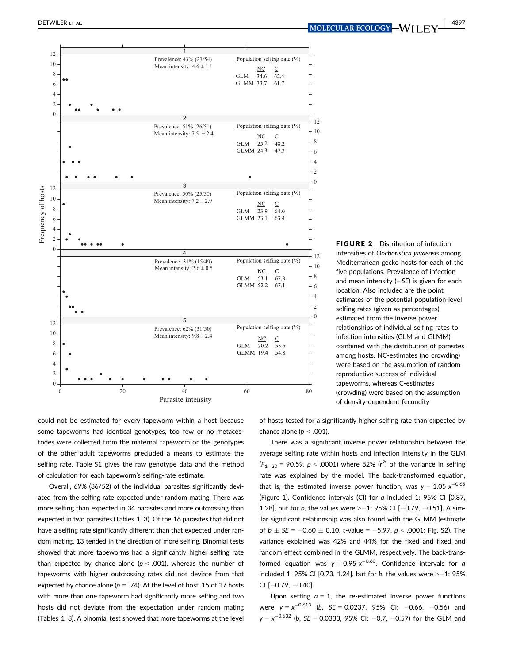

FIGURE 2 Distribution of infection intensities of Oochoristica javaensis among Mediterranean gecko hosts for each of the five populations. Prevalence of infection and mean intensity  $(\pm SE)$  is given for each location. Also included are the point estimates of the potential population-level selfing rates (given as percentages) estimated from the inverse power relationships of individual selfing rates to infection intensities (GLM and GLMM) combined with the distribution of parasites among hosts. NC-estimates (no crowding) were based on the assumption of random reproductive success of individual tapeworms, whereas C-estimates (crowding) were based on the assumption of density-dependent fecundity

could not be estimated for every tapeworm within a host because some tapeworms had identical genotypes, too few or no metacestodes were collected from the maternal tapeworm or the genotypes of the other adult tapeworms precluded a means to estimate the selfing rate. Table S1 gives the raw genotype data and the method of calculation for each tapeworm's selfing-rate estimate.

Overall, 69% (36/52) of the individual parasites significantly deviated from the selfing rate expected under random mating. There was more selfing than expected in 34 parasites and more outcrossing than expected in two parasites (Tables 1–3). Of the 16 parasites that did not have a selfing rate significantly different than that expected under random mating, 13 tended in the direction of more selfing. Binomial tests showed that more tapeworms had a significantly higher selfing rate than expected by chance alone ( $p < .001$ ), whereas the number of tapeworms with higher outcrossing rates did not deviate from that expected by chance alone ( $p = .74$ ). At the level of host, 15 of 17 hosts with more than one tapeworm had significantly more selfing and two hosts did not deviate from the expectation under random mating (Tables 1–3). A binomial test showed that more tapeworms at the level of hosts tested for a significantly higher selfing rate than expected by chance alone ( $p < .001$ ).

There was a significant inverse power relationship between the average selfing rate within hosts and infection intensity in the GLM  $(F_{1, 20} = 90.59, p < .0001)$  where 82%  $(r^2)$  of the variance in selfing rate was explained by the model. The back-transformed equation, that is, the estimated inverse power function, was  $y = 1.05 x^{-0.65}$ (Figure 1). Confidence intervals (CI) for a included 1: 95% CI [0.87, 1.28], but for b, the values were  $\ge -1$ : 95% CI [-0.79, -0.51]. A similar significant relationship was also found with the GLMM (estimate of  $b \pm SE = -0.60 \pm 0.10$ , t-value = -5.97, p < .0001; Fig. S2). The variance explained was 42% and 44% for the fixed and fixed and random effect combined in the GLMM, respectively. The back-transformed equation was  $y = 0.95 x^{-0.60}$ . Confidence intervals for a included 1: 95% CI [0.73, 1.24], but for  $b$ , the values were  $\ge -1$ : 95%  $CI [-0.79, -0.40]$ .

Upon setting  $a = 1$ , the re-estimated inverse power functions were  $y = x^{-0.613}$  (b, SE = 0.0237, 95% CI: -0.66, -0.56) and  $y = x^{-0.632}$  (b, SE = 0.0333, 95% CI: -0.7, -0.57) for the GLM and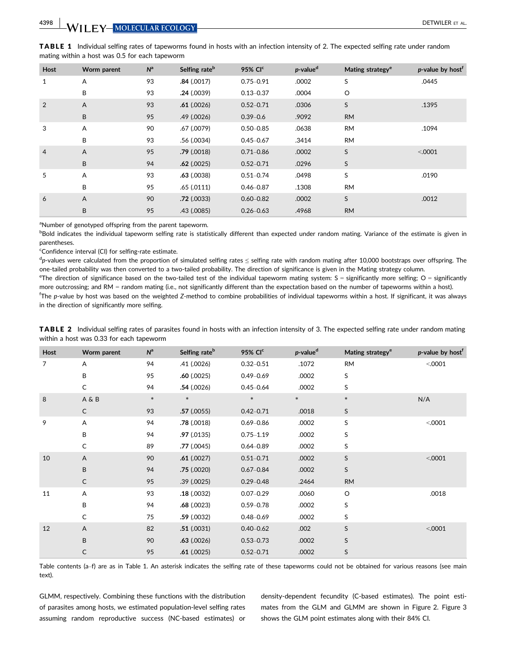**4398 WILEY MOLECULAR ECOLOGY** 

|                                                |  | <b>TABLE 1</b> Individual selfing rates of tapeworms found in hosts with an infection intensity of 2. The expected selfing rate under random |  |
|------------------------------------------------|--|----------------------------------------------------------------------------------------------------------------------------------------------|--|
| mating within a host was 0.5 for each tapeworm |  |                                                                                                                                              |  |

| Host           | Worm parent | N <sup>a</sup> | Selfing rate <sup>b</sup> | 95% CI <sup>c</sup> | p-value <sup>d</sup> | Mating strategy <sup>e</sup> | p-value by host <sup>t</sup> |
|----------------|-------------|----------------|---------------------------|---------------------|----------------------|------------------------------|------------------------------|
| 1              | A           | 93             | .84(.0017)                | $0.75 - 0.91$       | .0002                | S                            | .0445                        |
|                | B           | 93             | .24(.0039)                | $0.13 - 0.37$       | .0004                | O                            |                              |
| 2              | A           | 93             | .61(.0026)                | $0.52 - 0.71$       | .0306                | S                            | .1395                        |
|                | B           | 95             | .49(0026)                 | $0.39 - 0.6$        | .9092                | <b>RM</b>                    |                              |
| 3              | A           | 90             | .67(0079)                 | $0.50 - 0.85$       | .0638                | <b>RM</b>                    | .1094                        |
|                | B           | 93             | .56 (.0034)               | $0.45 - 0.67$       | .3414                | <b>RM</b>                    |                              |
| $\overline{4}$ | A           | 95             | .79(.0018)                | $0.71 - 0.86$       | .0002                | S                            | < 0.0001                     |
|                | B           | 94             | $.62$ (.0025)             | $0.52 - 0.71$       | .0296                | S                            |                              |
| 5              | Α           | 93             | .63(.0038)                | $0.51 - 0.74$       | .0498                | S                            | .0190                        |
|                | B           | 95             | .65(.0111)                | $0.46 - 0.87$       | .1308                | <b>RM</b>                    |                              |
| 6              | A           | 90             | .72(.0033)                | $0.60 - 0.82$       | .0002                | S                            | .0012                        |
|                | B           | 95             | $.43$ $(.0085)$           | $0.26 - 0.63$       | .4968                | <b>RM</b>                    |                              |

<sup>a</sup>Number of genotyped offspring from the parent tapeworm.

**Bold indicates the individual tapeworm selfing rate is statistically different than expected under random mating. Variance of the estimate is given in** parentheses.

<sup>c</sup>Confidence interval (CI) for selfing-rate estimate.

d<sub>p</sub>-values were calculated from the proportion of simulated selfing rates ≤ selfing rate with random mating after 10,000 bootstraps over offspring. The one-tailed probability was then converted to a two-tailed probability. The direction of significance is given in the Mating strategy column.

<sup>e</sup>The direction of significance based on the two-tailed test of the individual tapeworm mating system: S = significantly more selfing; O = significantly more outcrossing; and RM = random mating (i.e., not significantly different than the expectation based on the number of tapeworms within a host). f The p-value by host was based on the weighted Z-method to combine probabilities of individual tapeworms within a host. If significant, it was always in the direction of significantly more selfing.

| Host | Worm parent  | $N^a$  | Selfing rate <sup>b</sup> | 95% CI <sup>c</sup> | p-value <sup>d</sup> | Mating strategy <sup>e</sup> | p-value by host <sup>f</sup> |
|------|--------------|--------|---------------------------|---------------------|----------------------|------------------------------|------------------------------|
| 7    | Α            | 94     | .41(.0026)                | $0.32 - 0.51$       | .1072                | <b>RM</b>                    | < 0001                       |
|      | B            | 95     | .60(.0025)                | $0.49 - 0.69$       | .0002                | S                            |                              |
|      | C            | 94     | .54(.0026)                | $0.45 - 0.64$       | .0002                | S                            |                              |
| 8    | A & B        | $\ast$ | $\ast$                    | $\ast$              | $\ast$               | $\ast$                       | N/A                          |
|      | $\mathsf{C}$ | 93     | .57(.0055)                | $0.42 - 0.71$       | .0018                | S                            |                              |
| 9    | A            | 94     | .78(.0018)                | $0.69 - 0.86$       | .0002                | S                            | < .0001                      |
|      | B            | 94     | .97(0135)                 | $0.75 - 1.19$       | .0002                | S                            |                              |
|      | C            | 89     | .77(.0045)                | $0.64 - 0.89$       | .0002                | S                            |                              |
| 10   | A            | 90     | .61(.0027)                | $0.51 - 0.71$       | .0002                | $\sf S$                      | < .0001                      |
|      | B            | 94     | .75(.0020)                | $0.67 - 0.84$       | .0002                | S                            |                              |
|      | $\mathsf{C}$ | 95     | .39(.0025)                | $0.29 - 0.48$       | .2464                | <b>RM</b>                    |                              |
| 11   | A            | 93     | .18(.0032)                | $0.07 - 0.29$       | .0060                | $\circ$                      | .0018                        |
|      | B            | 94     | .68(.0023)                | $0.59 - 0.78$       | .0002                | S                            |                              |
|      | C            | 75     | .59(.0032)                | $0.48 - 0.69$       | .0002                | S                            |                              |
| 12   | A            | 82     | .51(.0031)                | $0.40 - 0.62$       | .002                 | S                            | < 0.0001                     |
|      | B            | 90     | $.63$ $(.0026)$           | $0.53 - 0.73$       | .0002                | S                            |                              |
|      | С            | 95     | .61(.0025)                | $0.52 - 0.71$       | .0002                | S                            |                              |

TABLE 2 Individual selfing rates of parasites found in hosts with an infection intensity of 3. The expected selfing rate under random mating within a host was 0.33 for each tapeworm

Table contents (a-f) are as in Table 1. An asterisk indicates the selfing rate of these tapeworms could not be obtained for various reasons (see main text).

GLMM, respectively. Combining these functions with the distribution of parasites among hosts, we estimated population-level selfing rates assuming random reproductive success (NC-based estimates) or

density-dependent fecundity (C-based estimates). The point estimates from the GLM and GLMM are shown in Figure 2. Figure 3 shows the GLM point estimates along with their 84% CI.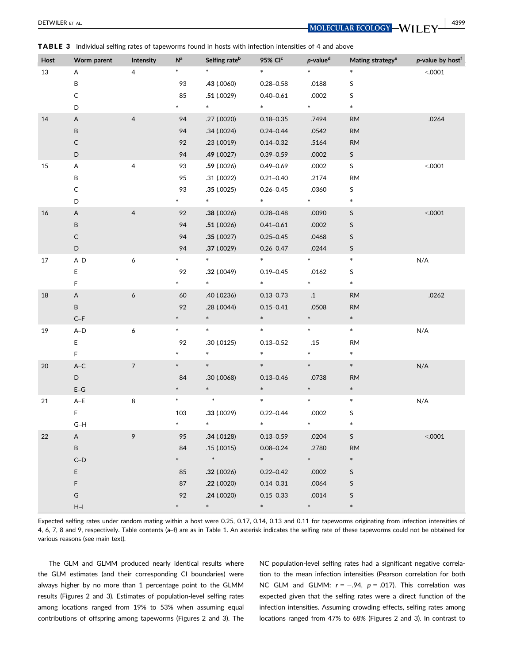DETWILER ET AL. 4399

| Host   | Worm parent                     | Intensity      | $\mathsf{N}^{\mathsf{a}}$ | Selfing rate <sup>b</sup> | 95% CI <sup>c</sup> | $p$ -value <sup>d</sup> | Mating strategy <sup>e</sup> | p-value by host <sup>f</sup> |
|--------|---------------------------------|----------------|---------------------------|---------------------------|---------------------|-------------------------|------------------------------|------------------------------|
| 13     | A                               | $\overline{4}$ | $\ast$                    | $\ast$                    | $\ast$              | $\ast$                  | $\ast$                       | < 0.0001                     |
|        | B                               |                | 93                        | .43 (.0060)               | $0.28 - 0.58$       | .0188                   | S                            |                              |
|        | С                               |                | 85                        | .51(.0029)                | $0.40 - 0.61$       | .0002                   | S                            |                              |
|        | D                               |                | *.                        | $\ast$                    | $\ast$              | $*$ . The set of $*$    | $\ast$                       |                              |
| $14\,$ | $\sf A$                         | $\overline{4}$ | 94                        | .27 (.0020)               | $0.18 - 0.35$       | .7494                   | <b>RM</b>                    | .0264                        |
|        | B                               |                | 94                        | .34(.0024)                | $0.24 - 0.44$       | .0542                   | $\mathsf{RM}$                |                              |
|        | С                               |                | 92                        | .23(.0019)                | $0.14 - 0.32$       | .5164                   | <b>RM</b>                    |                              |
|        | D                               |                | 94                        | .49(.0027)                | $0.39 - 0.59$       | .0002                   | S                            |                              |
| 15     | A                               | 4              | 93                        | .59(.0026)                | $0.49 - 0.69$       | .0002                   | S                            | < 0.0001                     |
|        | В                               |                | 95                        | .31(.0022)                | $0.21 - 0.40$       | .2174                   | <b>RM</b>                    |                              |
|        | C                               |                | 93                        | .35(.0025)                | $0.26 - 0.45$       | .0360                   | S                            |                              |
|        | D                               |                | $\ast$                    | $*$                       | $*$                 | $\ast$                  | $\ast$                       |                              |
| 16     | A                               | $\overline{4}$ | 92                        | .38(.0026)                | $0.28 - 0.48$       | .0090                   | S                            | < .0001                      |
|        | B                               |                | 94                        | .51(.0026)                | $0.41 - 0.61$       | .0002                   | S                            |                              |
|        | $\mathsf C$                     |                | 94                        | .35(.0027)                | $0.25 - 0.45$       | .0468                   | S                            |                              |
|        | D                               |                | 94                        | .37 (.0029)               | $0.26 - 0.47$       | .0244                   | S                            |                              |
| 17     | $A-D$                           | 6              | *                         | $\ast$                    | $\ast$              | *                       | *                            | N/A                          |
|        | E                               |                | 92                        | .32(.0049)                | $0.19 - 0.45$       | .0162                   | S                            |                              |
|        | F                               |                | *                         | $*$                       | $\ast$              | $\ast$                  | $\ast$                       |                              |
| 18     | Α                               | 6              | 60                        | .40 (.0236)               | $0.13 - 0.73$       | $\cdot$ 1               | $\mathsf{RM}$                | .0262                        |
|        | B                               |                | 92                        | .28(.0044)                | $0.15 - 0.41$       | .0508                   | <b>RM</b>                    |                              |
|        | $C-F$                           |                | *                         | $\ast$                    | $\ast$              | $\ast$                  | $\ast$                       |                              |
| 19     | $\mathsf{A}\text{-}\mathsf{D}$  | 6              | $\ast$                    | $\ast$                    | $\ast$              | $\ast$                  | $\ast$                       | N/A                          |
|        | E                               |                | 92                        | .30 (.0125)               | $0.13 - 0.52$       | .15                     | RM                           |                              |
|        | F                               |                | $\ast$                    | $\ast$                    | $\ast$              | $\ast$                  | $\ast$                       |                              |
| $20\,$ | $\mathsf{A}\!\!-\!\!\mathsf{C}$ | $\overline{7}$ | *                         | $\ast$                    | $\ast$              | $\ast$                  | $\ast$                       | N/A                          |
|        | D                               |                | 84                        | .30 (.0068)               | $0.13 - 0.46$       | .0738                   | <b>RM</b>                    |                              |
|        | $\mathsf{E}\text{-}\mathsf{G}$  |                | $\ast$                    | $\ast$                    | $\ast$              | $\ast$                  | $\ast$                       |                              |
| 21     | $\mathsf{A}\text{-}\mathsf{E}$  | 8              | $\ast$                    | $\ast$                    | $\ast$              | *                       | $\ast$                       | N/A                          |
|        | F                               |                | 103                       | .33(.0029)                | $0.22 - 0.44$       | .0002                   | S                            |                              |
|        | $G-H$                           |                | $\ast$                    | $\ast$                    | $\ast$              | *                       | $\ast$                       |                              |
| 22     | A                               | 9              | 95                        | .34(.0128)                | $0.13 - 0.59$       | .0204                   | S                            | < 0.0001                     |
|        | B                               |                | 84                        | .15(.0015)                | $0.08 - 0.24$       | .2780                   | <b>RM</b>                    |                              |
|        | $\mathsf{C\text{-}D}$           |                | ×                         | $\ast$                    | $*$                 | $\ast$                  | $\ast$                       |                              |
|        | E                               |                | 85                        | .32(.0026)                | $0.22 - 0.42$       | .0002                   | S                            |                              |
|        | F                               |                | 87                        | .22(.0020)                | $0.14 - 0.31$       | .0064                   | S                            |                              |
|        | ${\mathsf G}$                   |                | 92                        | .24(.0020)                | $0.15 - 0.33$       | .0014                   | S                            |                              |
|        | $\mathsf{H}\mathsf{-I}$         |                | *                         | $\ast$                    | $\ast$              | $\ast$                  | $\ast$                       |                              |

TABLE 3 Individual selfing rates of tapeworms found in hosts with infection intensities of 4 and above

Expected selfing rates under random mating within a host were 0.25, 0.17, 0.14, 0.13 and 0.11 for tapeworms originating from infection intensities of 4, 6, 7, 8 and 9, respectively. Table contents (a–f) are as in Table 1. An asterisk indicates the selfing rate of these tapeworms could not be obtained for various reasons (see main text).

The GLM and GLMM produced nearly identical results where the GLM estimates (and their corresponding CI boundaries) were always higher by no more than 1 percentage point to the GLMM results (Figures 2 and 3). Estimates of population-level selfing rates among locations ranged from 19% to 53% when assuming equal contributions of offspring among tapeworms (Figures 2 and 3). The NC population-level selfing rates had a significant negative correlation to the mean infection intensities (Pearson correlation for both NC GLM and GLMM:  $r = -.94$ ,  $p = .017$ ). This correlation was expected given that the selfing rates were a direct function of the infection intensities. Assuming crowding effects, selfing rates among locations ranged from 47% to 68% (Figures 2 and 3). In contrast to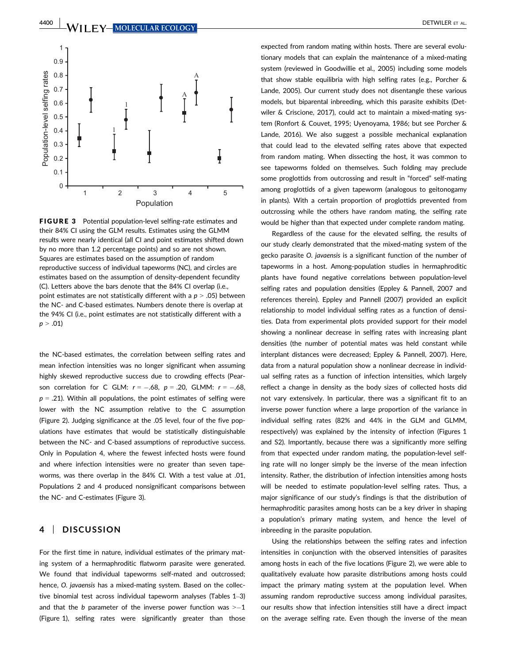

FIGURE 3 Potential population-level selfing-rate estimates and their 84% CI using the GLM results. Estimates using the GLMM results were nearly identical (all CI and point estimates shifted down by no more than 1.2 percentage points) and so are not shown. Squares are estimates based on the assumption of random reproductive success of individual tapeworms (NC), and circles are estimates based on the assumption of density-dependent fecundity (C). Letters above the bars denote that the 84% CI overlap (i.e., point estimates are not statistically different with a  $p > .05$ ) between the NC- and C-based estimates. Numbers denote there is overlap at the 94% CI (i.e., point estimates are not statistically different with a  $p > .01$ 

the NC-based estimates, the correlation between selfing rates and mean infection intensities was no longer significant when assuming highly skewed reproductive success due to crowding effects (Pearson correlation for C GLM:  $r = -.68$ ,  $p = .20$ , GLMM:  $r = -.68$ ,  $p = .21$ ). Within all populations, the point estimates of selfing were lower with the NC assumption relative to the C assumption (Figure 2). Judging significance at the .05 level, four of the five populations have estimates that would be statistically distinguishable between the NC- and C-based assumptions of reproductive success. Only in Population 4, where the fewest infected hosts were found and where infection intensities were no greater than seven tapeworms, was there overlap in the 84% CI. With a test value at .01, Populations 2 and 4 produced nonsignificant comparisons between the NC- and C-estimates (Figure 3).

## 4 | DISCUSSION

For the first time in nature, individual estimates of the primary mating system of a hermaphroditic flatworm parasite were generated. We found that individual tapeworms self-mated and outcrossed; hence, O. javaensis has a mixed-mating system. Based on the collective binomial test across individual tapeworm analyses (Tables 1–3) and that the  $b$  parameter of the inverse power function was  $\geq -1$ (Figure 1), selfing rates were significantly greater than those expected from random mating within hosts. There are several evolutionary models that can explain the maintenance of a mixed-mating system (reviewed in Goodwillie et al., 2005) including some models that show stable equilibria with high selfing rates (e.g., Porcher & Lande, 2005). Our current study does not disentangle these various models, but biparental inbreeding, which this parasite exhibits (Detwiler & Criscione, 2017), could act to maintain a mixed-mating system (Ronfort & Couvet, 1995; Uyenoyama, 1986; but see Porcher & Lande, 2016). We also suggest a possible mechanical explanation that could lead to the elevated selfing rates above that expected from random mating. When dissecting the host, it was common to see tapeworms folded on themselves. Such folding may preclude some proglottids from outcrossing and result in "forced" self-mating among proglottids of a given tapeworm (analogous to geitonogamy in plants). With a certain proportion of proglottids prevented from outcrossing while the others have random mating, the selfing rate would be higher than that expected under complete random mating.

Regardless of the cause for the elevated selfing, the results of our study clearly demonstrated that the mixed-mating system of the gecko parasite O. javaensis is a significant function of the number of tapeworms in a host. Among-population studies in hermaphroditic plants have found negative correlations between population-level selfing rates and population densities (Eppley & Pannell, 2007 and references therein). Eppley and Pannell (2007) provided an explicit relationship to model individual selfing rates as a function of densities. Data from experimental plots provided support for their model showing a nonlinear decrease in selfing rates with increasing plant densities (the number of potential mates was held constant while interplant distances were decreased; Eppley & Pannell, 2007). Here, data from a natural population show a nonlinear decrease in individual selfing rates as a function of infection intensities, which largely reflect a change in density as the body sizes of collected hosts did not vary extensively. In particular, there was a significant fit to an inverse power function where a large proportion of the variance in individual selfing rates (82% and 44% in the GLM and GLMM, respectively) was explained by the intensity of infection (Figures 1 and S2). Importantly, because there was a significantly more selfing from that expected under random mating, the population-level selfing rate will no longer simply be the inverse of the mean infection intensity. Rather, the distribution of infection intensities among hosts will be needed to estimate population-level selfing rates. Thus, a major significance of our study's findings is that the distribution of hermaphroditic parasites among hosts can be a key driver in shaping a population's primary mating system, and hence the level of inbreeding in the parasite population.

Using the relationships between the selfing rates and infection intensities in conjunction with the observed intensities of parasites among hosts in each of the five locations (Figure 2), we were able to qualitatively evaluate how parasite distributions among hosts could impact the primary mating system at the population level. When assuming random reproductive success among individual parasites, our results show that infection intensities still have a direct impact on the average selfing rate. Even though the inverse of the mean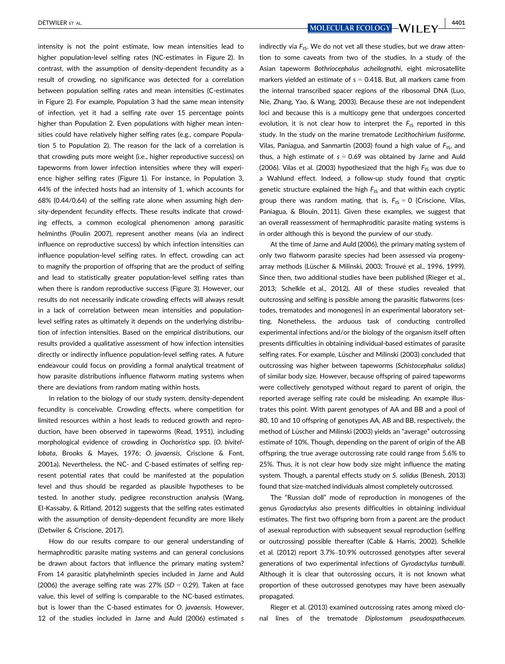intensity is not the point estimate, low mean intensities lead to higher population-level selfing rates (NC-estimates in Figure 2). In contrast, with the assumption of density-dependent fecundity as a result of crowding, no significance was detected for a correlation between population selfing rates and mean intensities (C-estimates in Figure 2). For example, Population 3 had the same mean intensity of infection, yet it had a selfing rate over 15 percentage points higher than Population 2. Even populations with higher mean intensities could have relatively higher selfing rates (e.g., compare Population 5 to Population 2). The reason for the lack of a correlation is that crowding puts more weight (i.e., higher reproductive success) on tapeworms from lower infection intensities where they will experience higher selfing rates (Figure 1). For instance, in Population 3, 44% of the infected hosts had an intensity of 1, which accounts for 68% (0.44/0.64) of the selfing rate alone when assuming high density-dependent fecundity effects. These results indicate that crowding effects, a common ecological phenomenon among parasitic helminths (Poulin 2007), represent another means (via an indirect influence on reproductive success) by which infection intensities can influence population-level selfing rates. In effect, crowding can act to magnify the proportion of offspring that are the product of selfing and lead to statistically greater population-level selfing rates than when there is random reproductive success (Figure 3). However, our results do not necessarily indicate crowding effects will always result in a lack of correlation between mean intensities and populationlevel selfing rates as ultimately it depends on the underlying distribution of infection intensities. Based on the empirical distributions, our results provided a qualitative assessment of how infection intensities directly or indirectly influence population-level selfing rates. A future endeavour could focus on providing a formal analytical treatment of how parasite distributions influence flatworm mating systems when there are deviations from random mating within hosts.

In relation to the biology of our study system, density-dependent fecundity is conceivable. Crowding effects, where competition for limited resources within a host leads to reduced growth and reproduction, have been observed in tapeworms (Read, 1951), including morphological evidence of crowding in Oochoristica spp. (O. bivitellobata, Brooks & Mayes, 1976; O. javaensis, Criscione & Font, 2001a). Nevertheless, the NC- and C-based estimates of selfing represent potential rates that could be manifested at the population level and thus should be regarded as plausible hypotheses to be tested. In another study, pedigree reconstruction analysis (Wang, El-Kassaby, & Ritland, 2012) suggests that the selfing rates estimated with the assumption of density-dependent fecundity are more likely (Detwiler & Criscione, 2017).

How do our results compare to our general understanding of hermaphroditic parasite mating systems and can general conclusions be drawn about factors that influence the primary mating system? From 14 parasitic platyhelminth species included in Jarne and Auld (2006) the average selfing rate was  $27\%$  (SD = 0.29). Taken at face value, this level of selfing is comparable to the NC-based estimates, but is lower than the C-based estimates for O. javaensis. However, 12 of the studies included in Jarne and Auld (2006) estimated s

DETWILER ET AL. 4401

indirectly via  $F_{1S}$ . We do not vet all these studies, but we draw attention to some caveats from two of the studies. In a study of the Asian tapeworm Bothriocephalus acheilognathi, eight microsatellite markers yielded an estimate of  $s = 0.418$ . But, all markers came from the internal transcribed spacer regions of the ribosomal DNA (Luo, Nie, Zhang, Yao, & Wang, 2003). Because these are not independent loci and because this is a multicopy gene that undergoes concerted evolution, it is not clear how to interpret the  $F_{1S}$  reported in this study. In the study on the marine trematode Lecithochirium fusiforme, Vilas, Paniagua, and Sanmartin (2003) found a high value of  $F_{15}$ , and thus, a high estimate of  $s = 0.69$  was obtained by Jarne and Auld (2006). Vilas et al. (2003) hypothesized that the high  $F_{1S}$  was due to a Wahlund effect. Indeed, a follow-up study found that cryptic genetic structure explained the high  $F_{1S}$  and that within each cryptic group there was random mating, that is,  $F_{1S} = 0$  (Criscione, Vilas, Paniagua, & Blouin, 2011). Given these examples, we suggest that an overall reassessment of hermaphroditic parasite mating systems is in order although this is beyond the purview of our study.

At the time of Jarne and Auld (2006), the primary mating system of only two flatworm parasite species had been assessed via progenyarray methods (Lüscher & Milinski, 2003; Trouvé et al., 1996, 1999). Since then, two additional studies have been published (Rieger et al., 2013; Schelkle et al., 2012). All of these studies revealed that outcrossing and selfing is possible among the parasitic flatworms (cestodes, trematodes and monogenes) in an experimental laboratory setting. Nonetheless, the arduous task of conducting controlled experimental infections and/or the biology of the organism itself often presents difficulties in obtaining individual-based estimates of parasite selfing rates. For example, Lüscher and Milinski (2003) concluded that outcrossing was higher between tapeworms (Schistocephalus solidus) of similar body size. However, because offspring of paired tapeworms were collectively genotyped without regard to parent of origin, the reported average selfing rate could be misleading. An example illustrates this point. With parent genotypes of AA and BB and a pool of 80, 10 and 10 offspring of genotypes AA, AB and BB, respectively, the method of Lüscher and Milinski (2003) yields an "average" outcrossing estimate of 10%. Though, depending on the parent of origin of the AB offspring, the true average outcrossing rate could range from 5.6% to 25%. Thus, it is not clear how body size might influence the mating system. Though, a parental effects study on S. solidus (Benesh, 2013) found that size-matched individuals almost completely outcrossed.

The "Russian doll" mode of reproduction in monogenes of the genus Gyrodactylus also presents difficulties in obtaining individual estimates. The first two offspring born from a parent are the product of asexual reproduction with subsequent sexual reproduction (selfing or outcrossing) possible thereafter (Cable & Harris, 2002). Schelkle et al. (2012) report 3.7%–10.9% outcrossed genotypes after several generations of two experimental infections of Gyrodactylus turnbulli. Although it is clear that outcrossing occurs, it is not known what proportion of these outcrossed genotypes may have been asexually propagated.

Rieger et al. (2013) examined outcrossing rates among mixed clonal lines of the trematode Diplostomum pseudospathaceum.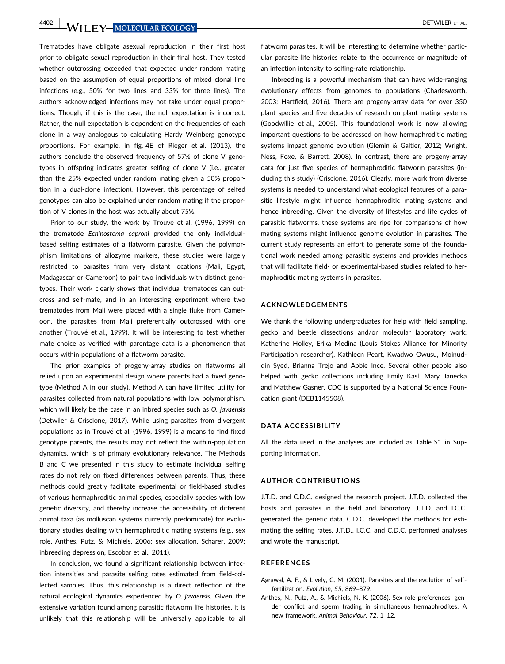4402 WII FY MOLECULAR ECOLOGY **NOTE ALL ALCOHOLOGY** 

Trematodes have obligate asexual reproduction in their first host prior to obligate sexual reproduction in their final host. They tested whether outcrossing exceeded that expected under random mating based on the assumption of equal proportions of mixed clonal line infections (e.g., 50% for two lines and 33% for three lines). The authors acknowledged infections may not take under equal proportions. Though, if this is the case, the null expectation is incorrect. Rather, the null expectation is dependent on the frequencies of each clone in a way analogous to calculating Hardy–Weinberg genotype proportions. For example, in fig. 4E of Rieger et al. (2013), the authors conclude the observed frequency of 57% of clone V genotypes in offspring indicates greater selfing of clone V (i.e., greater than the 25% expected under random mating given a 50% proportion in a dual-clone infection). However, this percentage of selfed genotypes can also be explained under random mating if the proportion of V clones in the host was actually about 75%.

Prior to our study, the work by Trouvé et al. (1996, 1999) on the trematode Echinostoma caproni provided the only individualbased selfing estimates of a flatworm parasite. Given the polymorphism limitations of allozyme markers, these studies were largely restricted to parasites from very distant locations (Mali, Egypt, Madagascar or Cameroon) to pair two individuals with distinct genotypes. Their work clearly shows that individual trematodes can outcross and self-mate, and in an interesting experiment where two trematodes from Mali were placed with a single fluke from Cameroon, the parasites from Mali preferentially outcrossed with one another (Trouvé et al., 1999). It will be interesting to test whether mate choice as verified with parentage data is a phenomenon that occurs within populations of a flatworm parasite.

The prior examples of progeny-array studies on flatworms all relied upon an experimental design where parents had a fixed genotype (Method A in our study). Method A can have limited utility for parasites collected from natural populations with low polymorphism, which will likely be the case in an inbred species such as O. javaensis (Detwiler & Criscione, 2017). While using parasites from divergent populations as in Trouvé et al. (1996, 1999) is a means to find fixed genotype parents, the results may not reflect the within-population dynamics, which is of primary evolutionary relevance. The Methods B and C we presented in this study to estimate individual selfing rates do not rely on fixed differences between parents. Thus, these methods could greatly facilitate experimental or field-based studies of various hermaphroditic animal species, especially species with low genetic diversity, and thereby increase the accessibility of different animal taxa (as molluscan systems currently predominate) for evolutionary studies dealing with hermaphroditic mating systems (e.g., sex role, Anthes, Putz, & Michiels, 2006; sex allocation, Scharer, 2009; inbreeding depression, Escobar et al., 2011).

In conclusion, we found a significant relationship between infection intensities and parasite selfing rates estimated from field-collected samples. Thus, this relationship is a direct reflection of the natural ecological dynamics experienced by O. javaensis. Given the extensive variation found among parasitic flatworm life histories, it is unlikely that this relationship will be universally applicable to all flatworm parasites. It will be interesting to determine whether particular parasite life histories relate to the occurrence or magnitude of an infection intensity to selfing-rate relationship.

Inbreeding is a powerful mechanism that can have wide-ranging evolutionary effects from genomes to populations (Charlesworth, 2003; Hartfield, 2016). There are progeny-array data for over 350 plant species and five decades of research on plant mating systems (Goodwillie et al., 2005). This foundational work is now allowing important questions to be addressed on how hermaphroditic mating systems impact genome evolution (Glemin & Galtier, 2012; Wright, Ness, Foxe, & Barrett, 2008). In contrast, there are progeny-array data for just five species of hermaphroditic flatworm parasites (including this study) (Criscione, 2016). Clearly, more work from diverse systems is needed to understand what ecological features of a parasitic lifestyle might influence hermaphroditic mating systems and hence inbreeding. Given the diversity of lifestyles and life cycles of parasitic flatworms, these systems are ripe for comparisons of how mating systems might influence genome evolution in parasites. The current study represents an effort to generate some of the foundational work needed among parasitic systems and provides methods that will facilitate field- or experimental-based studies related to hermaphroditic mating systems in parasites.

#### ACKNOWLEDGEMENTS

We thank the following undergraduates for help with field sampling, gecko and beetle dissections and/or molecular laboratory work: Katherine Holley, Erika Medina (Louis Stokes Alliance for Minority Participation researcher), Kathleen Peart, Kwadwo Owusu, Moinuddin Syed, Brianna Trejo and Abbie Ince. Several other people also helped with gecko collections including Emily Kasl, Mary Janecka and Matthew Gasner. CDC is supported by a National Science Foundation grant (DEB1145508).

## DATA ACCESSIBILITY

All the data used in the analyses are included as Table S1 in Supporting Information.

#### AUTHOR CONTRIBUTIONS

J.T.D. and C.D.C. designed the research project. J.T.D. collected the hosts and parasites in the field and laboratory. J.T.D. and I.C.C. generated the genetic data. C.D.C. developed the methods for estimating the selfing rates. J.T.D., I.C.C. and C.D.C. performed analyses and wrote the manuscript.

#### REFERENCES

- Agrawal, A. F., & Lively, C. M. (2001). Parasites and the evolution of selffertilization. Evolution, 55, 869–879.
- Anthes, N., Putz, A., & Michiels, N. K. (2006). Sex role preferences, gender conflict and sperm trading in simultaneous hermaphrodites: A new framework. Animal Behaviour, 72, 1–12.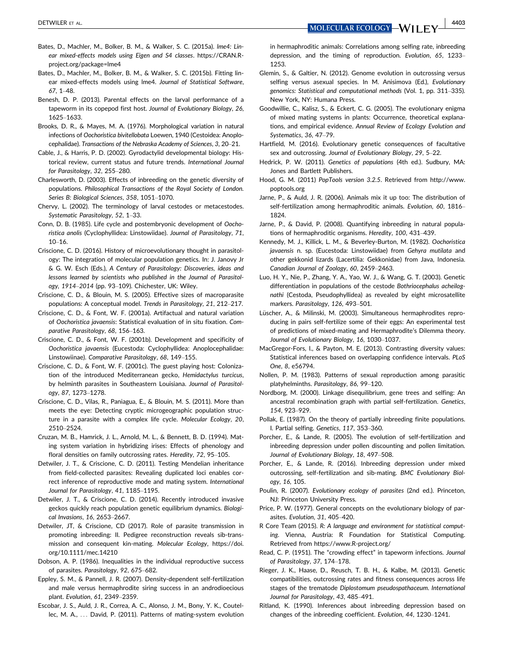DETWILER ET AL. 4403

- Bates, D., Machler, M., Bolker, B. M., & Walker, S. C. (2015a). lme4: Linear mixed-effects models using Eigen and S4 classes. [https://CRAN.R](https://CRAN.R-project.org/package=lme4)[project.org/package=lme4](https://CRAN.R-project.org/package=lme4)
- Bates, D., Machler, M., Bolker, B. M., & Walker, S. C. (2015b). Fitting linear mixed-effects models using lme4. Journal of Statistical Software, 67, 1–48.
- Benesh, D. P. (2013). Parental effects on the larval performance of a tapeworm in its copepod first host. Journal of Evolutionary Biology, 26, 1625–1633.
- Brooks, D. R., & Mayes, M. A. (1976). Morphological variation in natural infections of Oochoristica bivitellobata Loewen, 1940 (Cestoidea: Anoplocephalidae). Transactions of the Nebraska Academy of Sciences, 3, 20–21.
- Cable, J., & Harris, P. D. (2002). Gyrodactylid developmental biology: Historical review, current status and future trends. International Journal for Parasitology, 32, 255–280.
- Charlesworth, D. (2003). Effects of inbreeding on the genetic diversity of populations. Philosophical Transactions of the Royal Society of London. Series B: Biological Sciences, 358, 1051–1070.
- Chervy, L. (2002). The terminology of larval cestodes or metacestodes. Systematic Parasitology, 52, 1–33.
- Conn, D. B. (1985). Life cycle and postembryonic development of Oochoristica anolis (Cyclophyllidea: Linstowiidae). Journal of Parasitology, 71, 10–16.
- Criscione, C. D. (2016). History of microevolutionary thought in parasitology: The integration of molecular population genetics. In: J. Janovy Jr & G. W. Esch (Eds.), A Century of Parasitology: Discoveries, ideas and lessons learned by scientists who published in the Journal of Parasitology, 1914–2014 (pp. 93–109). Chichester, UK: Wiley.
- Criscione, C. D., & Blouin, M. S. (2005). Effective sizes of macroparasite populations: A conceptual model. Trends in Parasitology, 21, 212–217.
- Criscione, C. D., & Font, W. F. (2001a). Artifactual and natural variation of Oochoristica javaensis: Statistical evaluation of in situ fixation. Comparative Parasitology, 68, 156–163.
- Criscione, C. D., & Font, W. F. (2001b). Development and specificity of Oochoristica javaensis (Eucestoda: Cyclophyllidea: Anoplocephalidae: Linstowiinae). Comparative Parasitology, 68, 149–155.
- Criscione, C. D., & Font, W. F. (2001c). The guest playing host: Colonization of the introduced Mediterranean gecko, Hemidactylus turcicus, by helminth parasites in Southeastern Louisiana. Journal of Parasitology, 87, 1273–1278.
- Criscione, C. D., Vilas, R., Paniagua, E., & Blouin, M. S. (2011). More than meets the eye: Detecting cryptic microgeographic population structure in a parasite with a complex life cycle. Molecular Ecology, 20, 2510–2524.
- Cruzan, M. B., Hamrick, J. L., Arnold, M. L., & Bennett, B. D. (1994). Mating system variation in hybridizing irises: Effects of phenology and floral densities on family outcrossing rates. Heredity, 72, 95–105.
- Detwiler, J. T., & Criscione, C. D. (2011). Testing Mendelian inheritance from field-collected parasites: Revealing duplicated loci enables correct inference of reproductive mode and mating system. International Journal for Parasitology, 41, 1185–1195.
- Detwiler, J. T., & Criscione, C. D. (2014). Recently introduced invasive geckos quickly reach population genetic equilibrium dynamics. Biological Invasions, 16, 2653–2667.
- Detwiler, JT, & Criscione, CD (2017). Role of parasite transmission in promoting inbreeding: II. Pedigree reconstruction reveals sib-transmission and consequent kin-mating. Molecular Ecology, [https://doi.](https://doi.org/10.1111/mec.14210) [org/10.1111/mec.14210](https://doi.org/10.1111/mec.14210)
- Dobson, A. P. (1986). Inequalities in the individual reproductive success of parasites. Parasitology, 92, 675–682.
- Eppley, S. M., & Pannell, J. R. (2007). Density-dependent self-fertilization and male versus hermaphrodite siring success in an androdioecious plant. Evolution, 61, 2349–2359.
- Escobar, J. S., Auld, J. R., Correa, A. C., Alonso, J. M., Bony, Y. K., Coutellec, M. A., ... David, P. (2011). Patterns of mating-system evolution

in hermaphroditic animals: Correlations among selfing rate, inbreeding depression, and the timing of reproduction. Evolution, 65, 1233– 1253.

- Glemin, S., & Galtier, N. (2012). Genome evolution in outcrossing versus selfing versus asexual species. In M. Anisimova (Ed.), Evolutionary genomics: Statistical and computational methods (Vol. 1, pp. 311–335). New York, NY: Humana Press.
- Goodwillie, C., Kalisz, S., & Eckert, C. G. (2005). The evolutionary enigma of mixed mating systems in plants: Occurrence, theoretical explanations, and empirical evidence. Annual Review of Ecology Evolution and Systematics, 36, 47–79.
- Hartfield, M. (2016). Evolutionary genetic consequences of facultative sex and outcrossing. Journal of Evolutionary Biology, 29, 5–22.
- Hedrick, P. W. (2011). Genetics of populations (4th ed.). Sudbury, MA: Jones and Bartlett Publishers.
- Hood, G. M. (2011) PopTools version 3.2.5. Retrieved from [http://www.](http://www.poptools.org) [poptools.org](http://www.poptools.org)
- Jarne, P., & Auld, J. R. (2006). Animals mix it up too: The distribution of self-fertilization among hermaphroditic animals. Evolution, 60, 1816– 1824.
- Jarne, P., & David, P. (2008). Quantifying inbreeding in natural populations of hermaphroditic organisms. Heredity, 100, 431–439.
- Kennedy, M. J., Killick, L. M., & Beverley-Burton, M. (1982). Oochoristica javaensis n. sp. (Eucestoda: Linstowiidae) from Gehyra mutilata and other gekkonid lizards (Lacertilia: Gekkonidae) from Java, Indonesia. Canadian Journal of Zoology, 60, 2459–2463.
- Luo, H. Y., Nie, P., Zhang, Y. A., Yao, W. J., & Wang, G. T. (2003). Genetic differentiation in populations of the cestode Bothriocephalus acheilognathi (Cestoda, Pseudophyllidea) as revealed by eight microsatellite markers. Parasitology, 126, 493–501.
- Lüscher, A., & Milinski, M. (2003). Simultaneous hermaphrodites reproducing in pairs self-fertilize some of their eggs: An experimental test of predictions of mixed-mating and Hermaphrodite's Dilemma theory. Journal of Evolutionary Biology, 16, 1030–1037.
- MacGregor-Fors, I., & Payton, M. E. (2013). Contrasting diversity values: Statistical inferences based on overlapping confidence intervals. PLoS One, 8, e56794.
- Nollen, P. M. (1983). Patterns of sexual reproduction among parasitic platyhelminths. Parasitology, 86, 99–120.
- Nordborg, M. (2000). Linkage disequilibrium, gene trees and selfing: An ancestral recombination graph with partial self-fertilization. Genetics, 154, 923–929.
- Pollak, E. (1987). On the theory of partially inbreeding finite populations. I. Partial selfing. Genetics, 117, 353–360.
- Porcher, E., & Lande, R. (2005). The evolution of self-fertilization and inbreeding depression under pollen discounting and pollen limitation. Journal of Evolutionary Biology, 18, 497–508.
- Porcher, E., & Lande, R. (2016). Inbreeding depression under mixed outcrossing, self-fertilization and sib-mating. BMC Evolutionary Biology, 16, 105.
- Poulin, R. (2007). Evolutionary ecology of parasites (2nd ed.). Princeton, NJ: Princeton University Press.
- Price, P. W. (1977). General concepts on the evolutionary biology of parasites. Evolution, 31, 405–420.
- R Core Team (2015). R: A language and environment for statistical computing. Vienna, Austria: R Foundation for Statistical Computing. Retrieved from<https://www.R-project.org/>
- Read, C. P. (1951). The "crowding effect" in tapeworm infections. Journal of Parasitology, 37, 174–178.
- Rieger, J. K., Haase, D., Reusch, T. B. H., & Kalbe, M. (2013). Genetic compatibilities, outcrossing rates and fitness consequences across life stages of the trematode Diplostomum pseudospathaceum. International Journal for Parasitology, 43, 485–491.
- Ritland, K. (1990). Inferences about inbreeding depression based on changes of the inbreeding coefficient. Evolution, 44, 1230–1241.